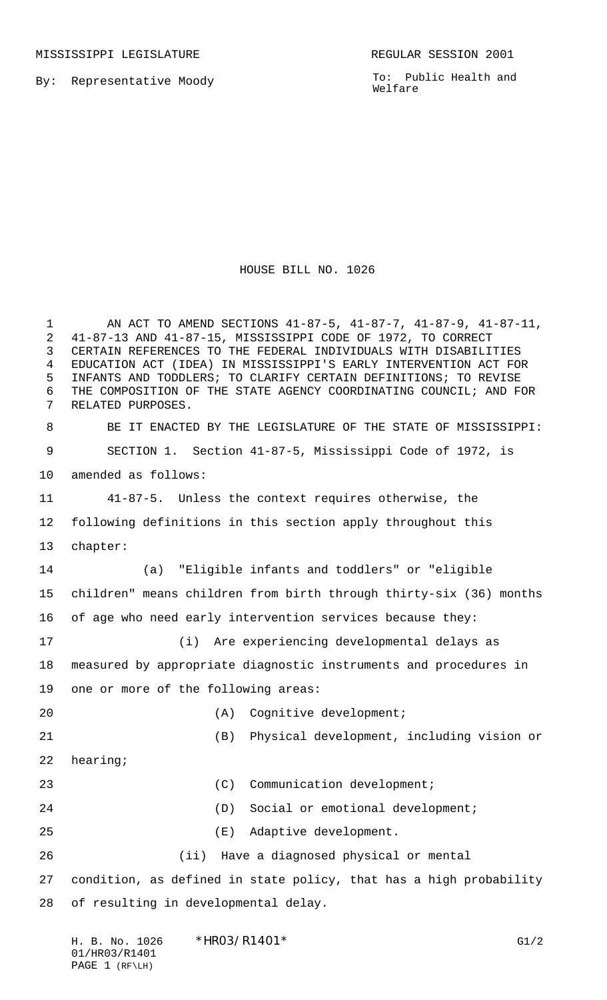MISSISSIPPI LEGISLATURE **REGULAR SESSION 2001** 

By: Representative Moody

To: Public Health and Welfare

## HOUSE BILL NO. 1026

 AN ACT TO AMEND SECTIONS 41-87-5, 41-87-7, 41-87-9, 41-87-11, 41-87-13 AND 41-87-15, MISSISSIPPI CODE OF 1972, TO CORRECT CERTAIN REFERENCES TO THE FEDERAL INDIVIDUALS WITH DISABILITIES EDUCATION ACT (IDEA) IN MISSISSIPPI'S EARLY INTERVENTION ACT FOR INFANTS AND TODDLERS; TO CLARIFY CERTAIN DEFINITIONS; TO REVISE THE COMPOSITION OF THE STATE AGENCY COORDINATING COUNCIL; AND FOR RELATED PURPOSES. BE IT ENACTED BY THE LEGISLATURE OF THE STATE OF MISSISSIPPI: SECTION 1. Section 41-87-5, Mississippi Code of 1972, is amended as follows: 41-87-5. Unless the context requires otherwise, the following definitions in this section apply throughout this chapter: (a) "Eligible infants and toddlers" or "eligible children" means children from birth through thirty-six (36) months of age who need early intervention services because they: (i) Are experiencing developmental delays as measured by appropriate diagnostic instruments and procedures in one or more of the following areas: (A) Cognitive development; (B) Physical development, including vision or hearing; 23 (C) Communication development; (D) Social or emotional development; (E) Adaptive development. (ii) Have a diagnosed physical or mental condition, as defined in state policy, that has a high probability of resulting in developmental delay.

| H. B. No. 1026   | $*HRO3/R1401*$ | G1/2 |
|------------------|----------------|------|
| 01/HR03/R1401    |                |      |
| PAGE $1$ (RF\LH) |                |      |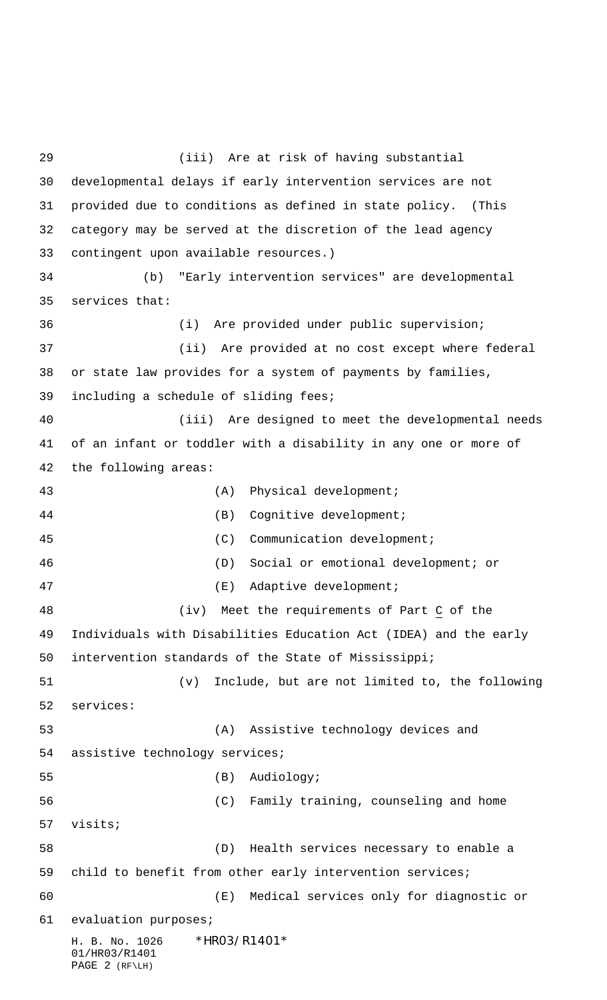H. B. No. 1026 \*HRO3/R1401\* 01/HR03/R1401 PAGE 2 (RF\LH) (iii) Are at risk of having substantial developmental delays if early intervention services are not provided due to conditions as defined in state policy. (This category may be served at the discretion of the lead agency contingent upon available resources.) (b) "Early intervention services" are developmental services that: (i) Are provided under public supervision; (ii) Are provided at no cost except where federal or state law provides for a system of payments by families, including a schedule of sliding fees; (iii) Are designed to meet the developmental needs of an infant or toddler with a disability in any one or more of the following areas: 43 (A) Physical development; (B) Cognitive development; (C) Communication development; (D) Social or emotional development; or (E) Adaptive development; (iv) Meet the requirements of Part C of the Individuals with Disabilities Education Act (IDEA) and the early intervention standards of the State of Mississippi; (v) Include, but are not limited to, the following services: (A) Assistive technology devices and assistive technology services; (B) Audiology; (C) Family training, counseling and home visits; (D) Health services necessary to enable a child to benefit from other early intervention services; (E) Medical services only for diagnostic or evaluation purposes;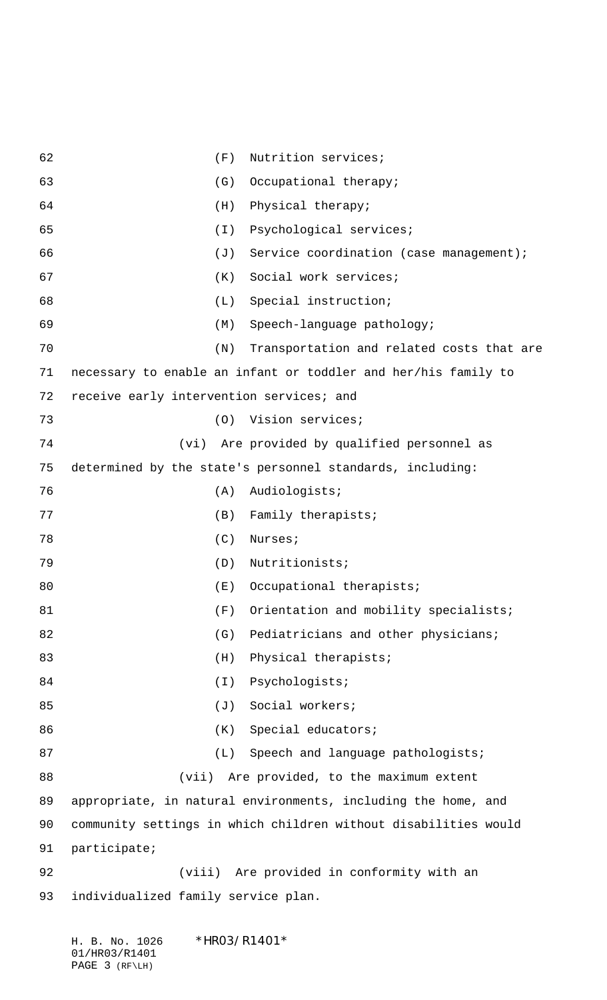| 62 | (F)                                                             | Nutrition services;                       |
|----|-----------------------------------------------------------------|-------------------------------------------|
| 63 | (G)                                                             | Occupational therapy;                     |
| 64 | Physical therapy;<br>(H)                                        |                                           |
| 65 | (I)                                                             | Psychological services;                   |
| 66 | (J)                                                             | Service coordination (case management);   |
| 67 | (K)                                                             | Social work services;                     |
| 68 | (L)                                                             | Special instruction;                      |
| 69 | (M)                                                             | Speech-language pathology;                |
| 70 | (N)                                                             | Transportation and related costs that are |
| 71 | necessary to enable an infant or toddler and her/his family to  |                                           |
| 72 | receive early intervention services; and                        |                                           |
| 73 | Vision services;<br>(O)                                         |                                           |
| 74 | (vi)                                                            | Are provided by qualified personnel as    |
| 75 | determined by the state's personnel standards, including:       |                                           |
| 76 | Audiologists;<br>(A)                                            |                                           |
| 77 | (B)                                                             | Family therapists;                        |
| 78 | (C)<br>Nurses;                                                  |                                           |
| 79 | Nutritionists;<br>(D)                                           |                                           |
| 80 |                                                                 | $(E)$ Occupational therapists;            |
| 81 | (F)                                                             | Orientation and mobility specialists;     |
| 82 | (G)                                                             | Pediatricians and other physicians;       |
| 83 | (H)                                                             | Physical therapists;                      |
| 84 | Psychologists;<br>$(\bot)$                                      |                                           |
| 85 | Social workers;<br>$(\mathsf{J})$                               |                                           |
| 86 | (K)                                                             | Special educators;                        |
| 87 | (L)                                                             | Speech and language pathologists;         |
| 88 | (vii)                                                           | Are provided, to the maximum extent       |
| 89 | appropriate, in natural environments, including the home, and   |                                           |
| 90 | community settings in which children without disabilities would |                                           |
| 91 | participate;                                                    |                                           |
| 92 |                                                                 | (viii) Are provided in conformity with an |
| 93 | individualized family service plan.                             |                                           |
|    |                                                                 |                                           |

|  |                | H. B. No. 1026 | *HR03/R1401* |
|--|----------------|----------------|--------------|
|  | 01/HR03/R1401  |                |              |
|  | PAGE 3 (RF\LH) |                |              |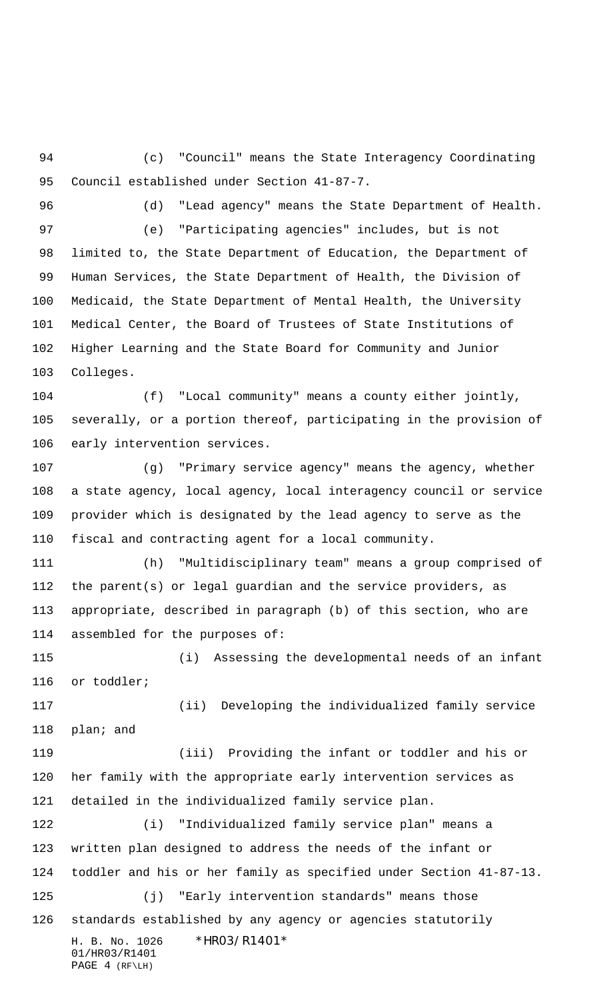(c) "Council" means the State Interagency Coordinating Council established under Section 41-87-7.

(d) "Lead agency" means the State Department of Health.

 (e) "Participating agencies" includes, but is not limited to, the State Department of Education, the Department of Human Services, the State Department of Health, the Division of Medicaid, the State Department of Mental Health, the University Medical Center, the Board of Trustees of State Institutions of Higher Learning and the State Board for Community and Junior Colleges.

 (f) "Local community" means a county either jointly, severally, or a portion thereof, participating in the provision of early intervention services.

 (g) "Primary service agency" means the agency, whether a state agency, local agency, local interagency council or service provider which is designated by the lead agency to serve as the fiscal and contracting agent for a local community.

 (h) "Multidisciplinary team" means a group comprised of the parent(s) or legal guardian and the service providers, as appropriate, described in paragraph (b) of this section, who are assembled for the purposes of:

 (i) Assessing the developmental needs of an infant or toddler;

 (ii) Developing the individualized family service plan; and

 (iii) Providing the infant or toddler and his or her family with the appropriate early intervention services as detailed in the individualized family service plan.

H. B. No. 1026 \*HR03/R1401\* 01/HR03/R1401 PAGE 4 (RF\LH) (i) "Individualized family service plan" means a written plan designed to address the needs of the infant or toddler and his or her family as specified under Section 41-87-13. (j) "Early intervention standards" means those standards established by any agency or agencies statutorily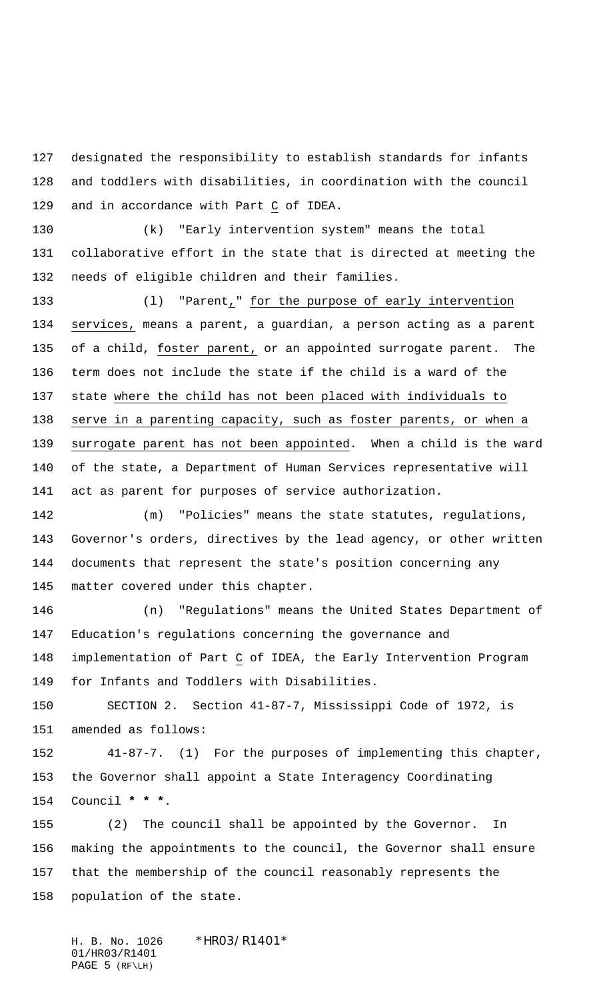designated the responsibility to establish standards for infants and toddlers with disabilities, in coordination with the council and in accordance with Part C of IDEA.

 (k) "Early intervention system" means the total collaborative effort in the state that is directed at meeting the needs of eligible children and their families.

 (l) "Parent," for the purpose of early intervention services, means a parent, a guardian, a person acting as a parent of a child, foster parent, or an appointed surrogate parent. The term does not include the state if the child is a ward of the state where the child has not been placed with individuals to 138 serve in a parenting capacity, such as foster parents, or when a surrogate parent has not been appointed. When a child is the ward of the state, a Department of Human Services representative will act as parent for purposes of service authorization.

142 (m) "Policies" means the state statutes, regulations, Governor's orders, directives by the lead agency, or other written documents that represent the state's position concerning any matter covered under this chapter.

 (n) "Regulations" means the United States Department of Education's regulations concerning the governance and implementation of Part C of IDEA, the Early Intervention Program for Infants and Toddlers with Disabilities.

 SECTION 2. Section 41-87-7, Mississippi Code of 1972, is amended as follows:

 41-87-7. (1) For the purposes of implementing this chapter, the Governor shall appoint a State Interagency Coordinating Council **\* \* \***.

 (2) The council shall be appointed by the Governor. In making the appointments to the council, the Governor shall ensure that the membership of the council reasonably represents the population of the state.

H. B. No. 1026 \*HRO3/R14O1\* 01/HR03/R1401 PAGE 5 (RF\LH)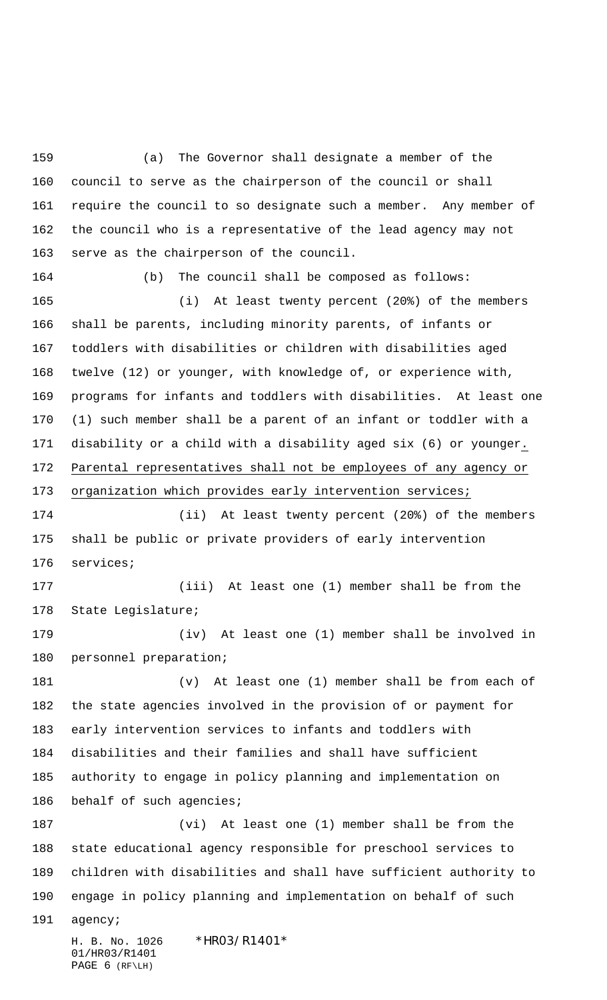H. B. No. 1026 \*HR03/R1401\* (a) The Governor shall designate a member of the council to serve as the chairperson of the council or shall require the council to so designate such a member. Any member of the council who is a representative of the lead agency may not serve as the chairperson of the council. (b) The council shall be composed as follows: (i) At least twenty percent (20%) of the members shall be parents, including minority parents, of infants or toddlers with disabilities or children with disabilities aged twelve (12) or younger, with knowledge of, or experience with, programs for infants and toddlers with disabilities. At least one (1) such member shall be a parent of an infant or toddler with a disability or a child with a disability aged six (6) or younger. Parental representatives shall not be employees of any agency or organization which provides early intervention services; (ii) At least twenty percent (20%) of the members shall be public or private providers of early intervention services; (iii) At least one (1) member shall be from the State Legislature; (iv) At least one (1) member shall be involved in personnel preparation; (v) At least one (1) member shall be from each of the state agencies involved in the provision of or payment for early intervention services to infants and toddlers with disabilities and their families and shall have sufficient authority to engage in policy planning and implementation on 186 behalf of such agencies; (vi) At least one (1) member shall be from the state educational agency responsible for preschool services to children with disabilities and shall have sufficient authority to engage in policy planning and implementation on behalf of such agency;

01/HR03/R1401 PAGE 6 (RF\LH)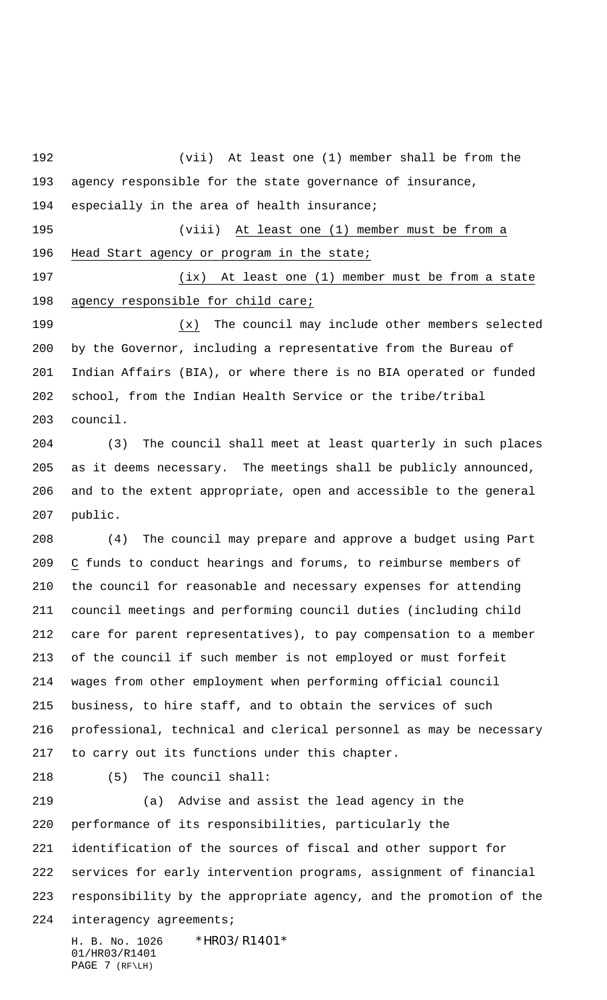(vii) At least one (1) member shall be from the agency responsible for the state governance of insurance, 194 especially in the area of health insurance; (viii) At least one (1) member must be from a Head Start agency or program in the state; (ix) At least one (1) member must be from a state 198 agency responsible for child care; (x) The council may include other members selected by the Governor, including a representative from the Bureau of Indian Affairs (BIA), or where there is no BIA operated or funded school, from the Indian Health Service or the tribe/tribal council. (3) The council shall meet at least quarterly in such places as it deems necessary. The meetings shall be publicly announced, and to the extent appropriate, open and accessible to the general public. (4) The council may prepare and approve a budget using Part C funds to conduct hearings and forums, to reimburse members of the council for reasonable and necessary expenses for attending council meetings and performing council duties (including child care for parent representatives), to pay compensation to a member of the council if such member is not employed or must forfeit wages from other employment when performing official council business, to hire staff, and to obtain the services of such professional, technical and clerical personnel as may be necessary to carry out its functions under this chapter. (5) The council shall: (a) Advise and assist the lead agency in the performance of its responsibilities, particularly the identification of the sources of fiscal and other support for services for early intervention programs, assignment of financial

responsibility by the appropriate agency, and the promotion of the

interagency agreements;

H. B. No. 1026 \*HR03/R1401\* 01/HR03/R1401  $PAGE$  7 ( $RF\L H$ )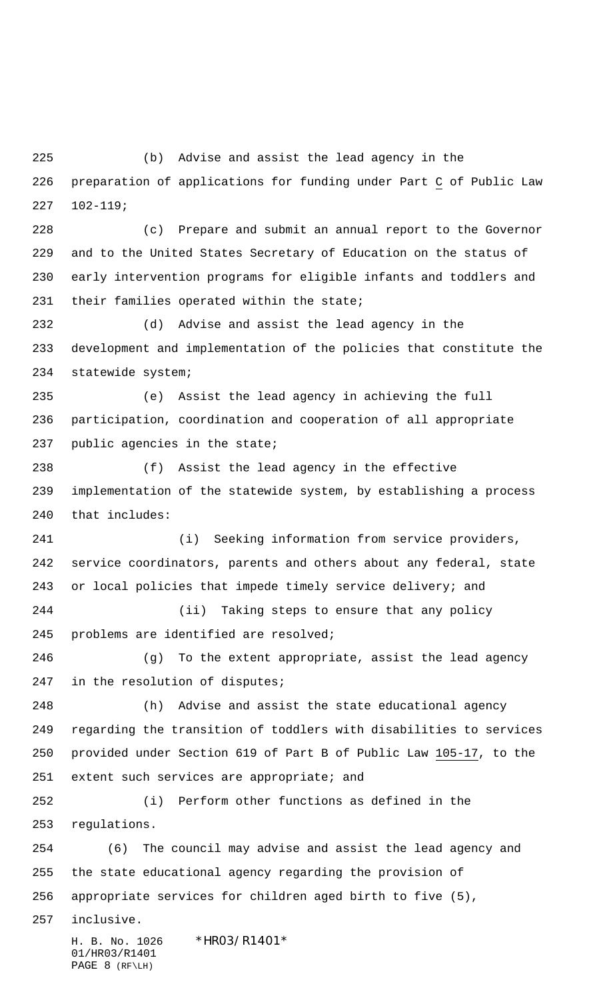(b) Advise and assist the lead agency in the preparation of applications for funding under Part C of Public Law 102-119;

 (c) Prepare and submit an annual report to the Governor and to the United States Secretary of Education on the status of early intervention programs for eligible infants and toddlers and their families operated within the state;

 (d) Advise and assist the lead agency in the development and implementation of the policies that constitute the statewide system;

 (e) Assist the lead agency in achieving the full participation, coordination and cooperation of all appropriate public agencies in the state;

 (f) Assist the lead agency in the effective implementation of the statewide system, by establishing a process that includes:

 (i) Seeking information from service providers, service coordinators, parents and others about any federal, state or local policies that impede timely service delivery; and

 (ii) Taking steps to ensure that any policy problems are identified are resolved;

 (g) To the extent appropriate, assist the lead agency in the resolution of disputes;

 (h) Advise and assist the state educational agency regarding the transition of toddlers with disabilities to services provided under Section 619 of Part B of Public Law 105-17, to the 251 extent such services are appropriate; and

 (i) Perform other functions as defined in the regulations.

 (6) The council may advise and assist the lead agency and the state educational agency regarding the provision of appropriate services for children aged birth to five (5),

inclusive.

H. B. No. 1026 \*HR03/R1401\* 01/HR03/R1401 PAGE 8 (RF\LH)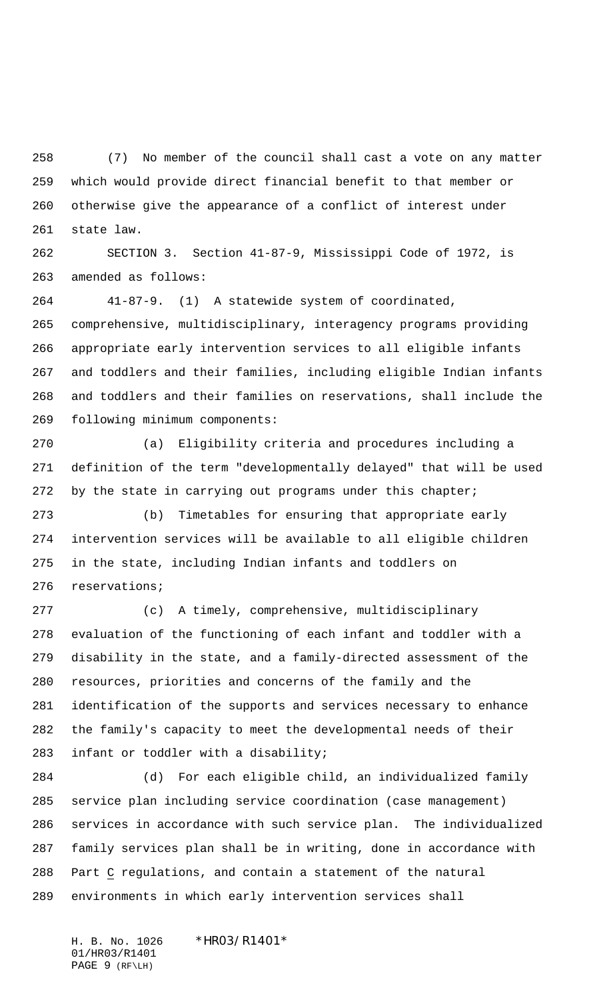(7) No member of the council shall cast a vote on any matter which would provide direct financial benefit to that member or otherwise give the appearance of a conflict of interest under state law.

 SECTION 3. Section 41-87-9, Mississippi Code of 1972, is amended as follows:

 41-87-9. (1) A statewide system of coordinated, comprehensive, multidisciplinary, interagency programs providing appropriate early intervention services to all eligible infants and toddlers and their families, including eligible Indian infants and toddlers and their families on reservations, shall include the following minimum components:

 (a) Eligibility criteria and procedures including a definition of the term "developmentally delayed" that will be used 272 by the state in carrying out programs under this chapter;

 (b) Timetables for ensuring that appropriate early intervention services will be available to all eligible children in the state, including Indian infants and toddlers on reservations;

 (c) A timely, comprehensive, multidisciplinary evaluation of the functioning of each infant and toddler with a disability in the state, and a family-directed assessment of the resources, priorities and concerns of the family and the identification of the supports and services necessary to enhance the family's capacity to meet the developmental needs of their infant or toddler with a disability;

 (d) For each eligible child, an individualized family service plan including service coordination (case management) services in accordance with such service plan. The individualized family services plan shall be in writing, done in accordance with Part C regulations, and contain a statement of the natural environments in which early intervention services shall

H. B. No. 1026 \*HR03/R1401\* 01/HR03/R1401 PAGE 9 (RF\LH)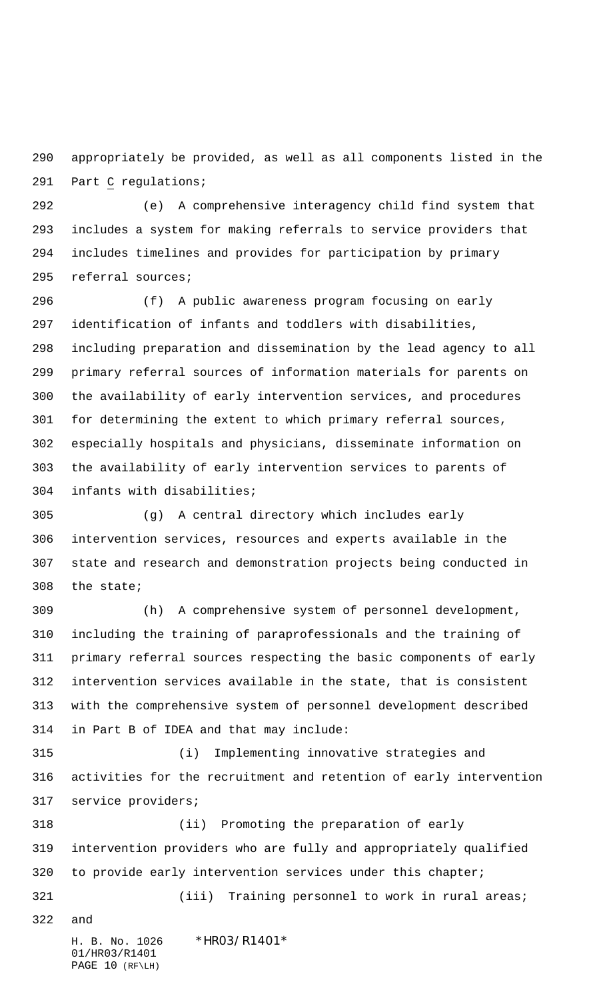appropriately be provided, as well as all components listed in the Part C regulations;

 (e) A comprehensive interagency child find system that includes a system for making referrals to service providers that includes timelines and provides for participation by primary referral sources;

 (f) A public awareness program focusing on early identification of infants and toddlers with disabilities, including preparation and dissemination by the lead agency to all primary referral sources of information materials for parents on the availability of early intervention services, and procedures for determining the extent to which primary referral sources, especially hospitals and physicians, disseminate information on the availability of early intervention services to parents of infants with disabilities;

 (g) A central directory which includes early intervention services, resources and experts available in the state and research and demonstration projects being conducted in the state;

 (h) A comprehensive system of personnel development, including the training of paraprofessionals and the training of primary referral sources respecting the basic components of early intervention services available in the state, that is consistent with the comprehensive system of personnel development described in Part B of IDEA and that may include:

 (i) Implementing innovative strategies and activities for the recruitment and retention of early intervention service providers;

 (ii) Promoting the preparation of early intervention providers who are fully and appropriately qualified 320 to provide early intervention services under this chapter; 321 (iii) Training personnel to work in rural areas;

and

H. B. No. 1026 \*HR03/R1401\*

01/HR03/R1401 PAGE 10 (RF\LH)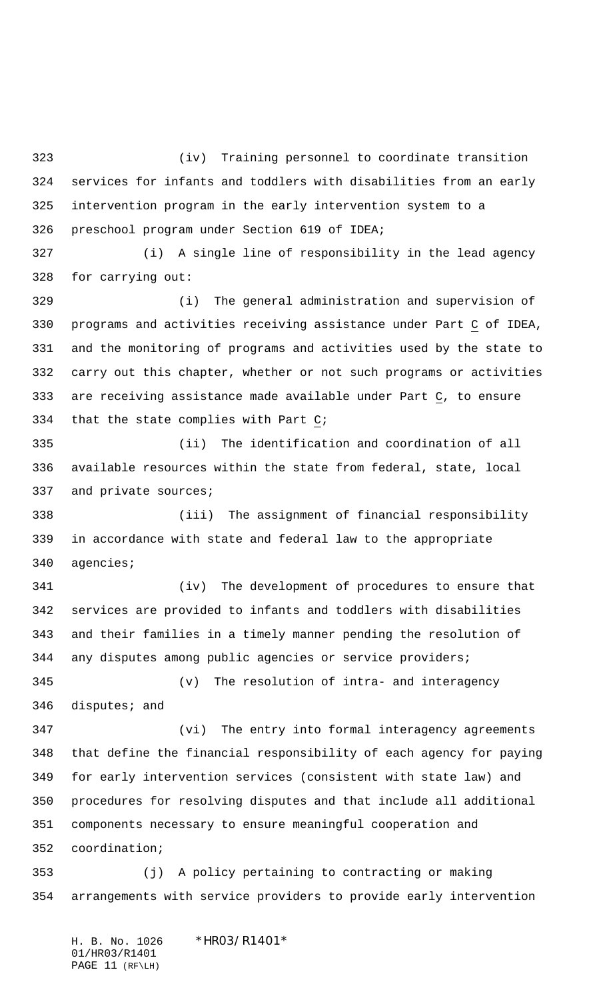(iv) Training personnel to coordinate transition services for infants and toddlers with disabilities from an early intervention program in the early intervention system to a preschool program under Section 619 of IDEA;

 (i) A single line of responsibility in the lead agency for carrying out:

 (i) The general administration and supervision of programs and activities receiving assistance under Part C of IDEA, and the monitoring of programs and activities used by the state to carry out this chapter, whether or not such programs or activities are receiving assistance made available under Part C, to ensure that the state complies with Part C;

 (ii) The identification and coordination of all available resources within the state from federal, state, local 337 and private sources;

 (iii) The assignment of financial responsibility in accordance with state and federal law to the appropriate agencies;

 (iv) The development of procedures to ensure that services are provided to infants and toddlers with disabilities and their families in a timely manner pending the resolution of any disputes among public agencies or service providers; (v) The resolution of intra- and interagency disputes; and

 (vi) The entry into formal interagency agreements that define the financial responsibility of each agency for paying for early intervention services (consistent with state law) and procedures for resolving disputes and that include all additional components necessary to ensure meaningful cooperation and coordination;

 (j) A policy pertaining to contracting or making arrangements with service providers to provide early intervention

H. B. No. 1026 \*HRO3/R14O1\* 01/HR03/R1401 PAGE 11 (RF\LH)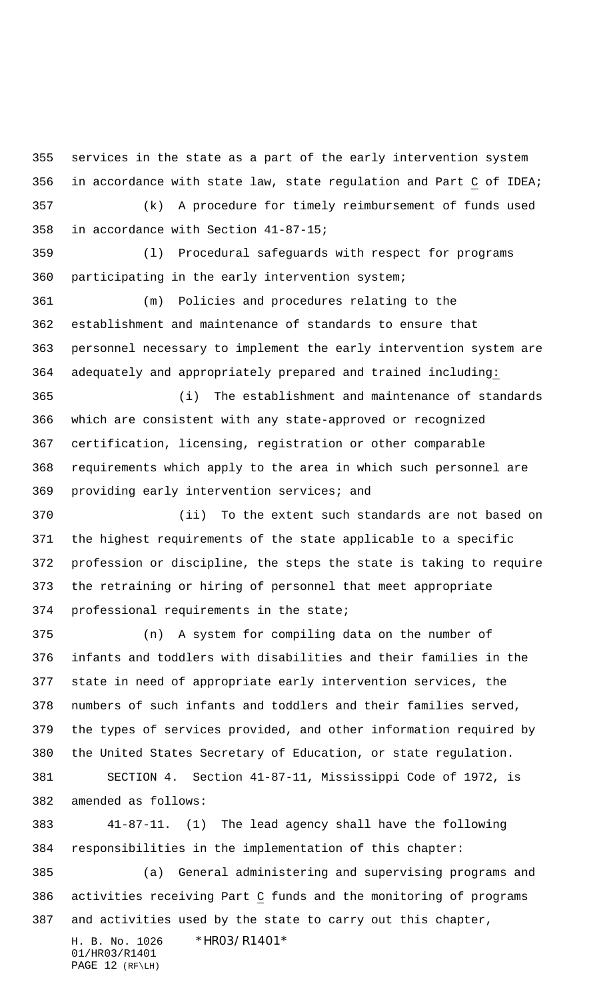services in the state as a part of the early intervention system in accordance with state law, state regulation and Part C of IDEA; (k) A procedure for timely reimbursement of funds used

in accordance with Section 41-87-15;

 (l) Procedural safeguards with respect for programs participating in the early intervention system;

 (m) Policies and procedures relating to the establishment and maintenance of standards to ensure that personnel necessary to implement the early intervention system are adequately and appropriately prepared and trained including:

 (i) The establishment and maintenance of standards which are consistent with any state-approved or recognized certification, licensing, registration or other comparable requirements which apply to the area in which such personnel are providing early intervention services; and

 (ii) To the extent such standards are not based on the highest requirements of the state applicable to a specific profession or discipline, the steps the state is taking to require the retraining or hiring of personnel that meet appropriate professional requirements in the state;

 (n) A system for compiling data on the number of infants and toddlers with disabilities and their families in the state in need of appropriate early intervention services, the numbers of such infants and toddlers and their families served, the types of services provided, and other information required by the United States Secretary of Education, or state regulation. SECTION 4. Section 41-87-11, Mississippi Code of 1972, is amended as follows:

 41-87-11. (1) The lead agency shall have the following responsibilities in the implementation of this chapter:

 (a) General administering and supervising programs and activities receiving Part C funds and the monitoring of programs and activities used by the state to carry out this chapter,

H. B. No. 1026 \*HR03/R1401\* 01/HR03/R1401 PAGE 12 (RF\LH)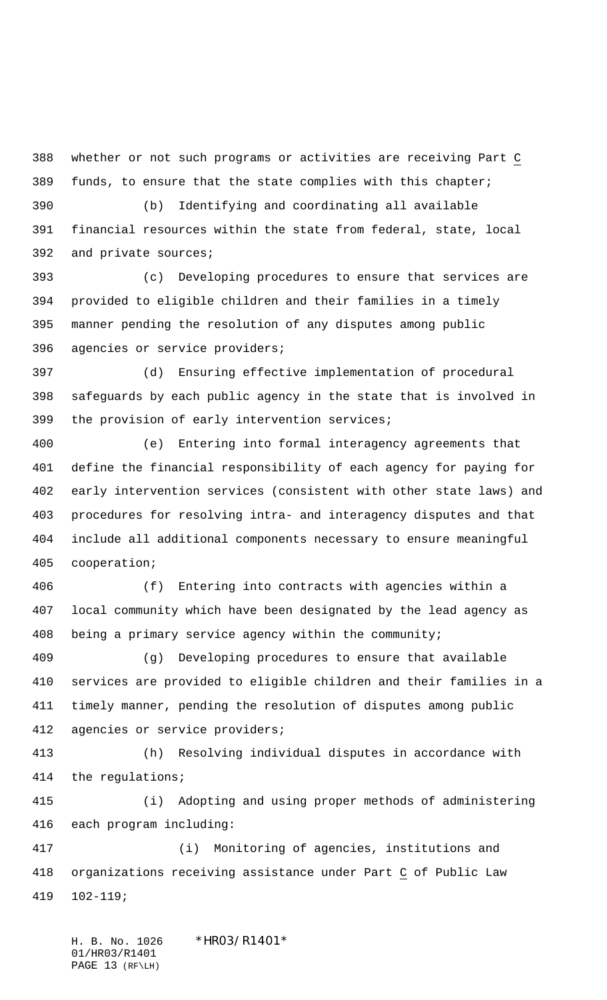whether or not such programs or activities are receiving Part C funds, to ensure that the state complies with this chapter;

 (b) Identifying and coordinating all available financial resources within the state from federal, state, local and private sources;

 (c) Developing procedures to ensure that services are provided to eligible children and their families in a timely manner pending the resolution of any disputes among public agencies or service providers;

 (d) Ensuring effective implementation of procedural safeguards by each public agency in the state that is involved in the provision of early intervention services;

 (e) Entering into formal interagency agreements that define the financial responsibility of each agency for paying for early intervention services (consistent with other state laws) and procedures for resolving intra- and interagency disputes and that include all additional components necessary to ensure meaningful cooperation;

 (f) Entering into contracts with agencies within a local community which have been designated by the lead agency as being a primary service agency within the community;

 (g) Developing procedures to ensure that available services are provided to eligible children and their families in a timely manner, pending the resolution of disputes among public agencies or service providers;

 (h) Resolving individual disputes in accordance with the regulations;

 (i) Adopting and using proper methods of administering each program including:

 (i) Monitoring of agencies, institutions and organizations receiving assistance under Part C of Public Law 102-119;

H. B. No. 1026 \*HRO3/R1401\* 01/HR03/R1401 PAGE 13 (RF\LH)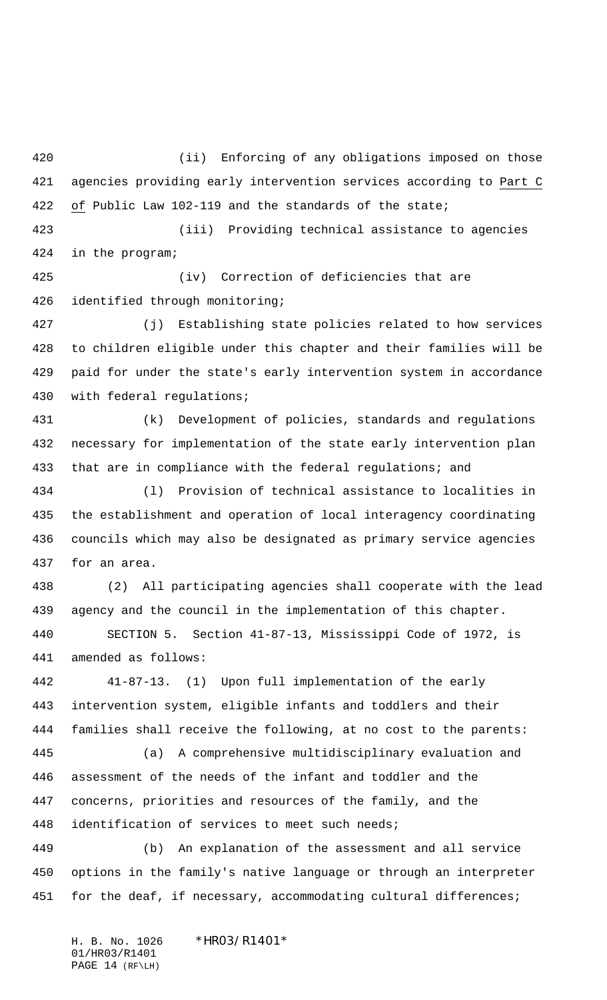(ii) Enforcing of any obligations imposed on those agencies providing early intervention services according to Part C of Public Law 102-119 and the standards of the state;

 (iii) Providing technical assistance to agencies in the program;

 (iv) Correction of deficiencies that are identified through monitoring;

 (j) Establishing state policies related to how services to children eligible under this chapter and their families will be paid for under the state's early intervention system in accordance with federal regulations;

 (k) Development of policies, standards and regulations necessary for implementation of the state early intervention plan 433 that are in compliance with the federal regulations; and

 (l) Provision of technical assistance to localities in the establishment and operation of local interagency coordinating councils which may also be designated as primary service agencies for an area.

 (2) All participating agencies shall cooperate with the lead agency and the council in the implementation of this chapter.

 SECTION 5. Section 41-87-13, Mississippi Code of 1972, is amended as follows:

 41-87-13. (1) Upon full implementation of the early intervention system, eligible infants and toddlers and their families shall receive the following, at no cost to the parents:

 (a) A comprehensive multidisciplinary evaluation and assessment of the needs of the infant and toddler and the concerns, priorities and resources of the family, and the identification of services to meet such needs;

 (b) An explanation of the assessment and all service options in the family's native language or through an interpreter 451 for the deaf, if necessary, accommodating cultural differences;

H. B. No. 1026 \*HRO3/R14O1\* 01/HR03/R1401 PAGE 14 (RF\LH)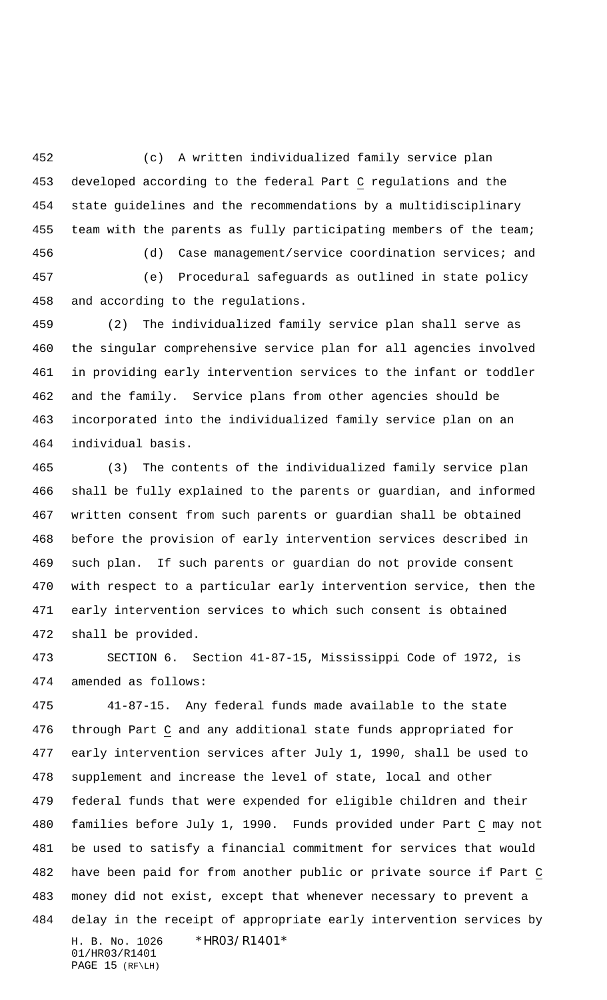(c) A written individualized family service plan developed according to the federal Part C regulations and the state guidelines and the recommendations by a multidisciplinary team with the parents as fully participating members of the team;

 (d) Case management/service coordination services; and (e) Procedural safeguards as outlined in state policy and according to the regulations.

 (2) The individualized family service plan shall serve as the singular comprehensive service plan for all agencies involved in providing early intervention services to the infant or toddler and the family. Service plans from other agencies should be incorporated into the individualized family service plan on an individual basis.

 (3) The contents of the individualized family service plan shall be fully explained to the parents or guardian, and informed written consent from such parents or guardian shall be obtained before the provision of early intervention services described in such plan. If such parents or guardian do not provide consent with respect to a particular early intervention service, then the early intervention services to which such consent is obtained shall be provided.

 SECTION 6. Section 41-87-15, Mississippi Code of 1972, is amended as follows:

H. B. No. 1026 \*HR03/R1401\* 01/HR03/R1401 41-87-15. Any federal funds made available to the state through Part C and any additional state funds appropriated for early intervention services after July 1, 1990, shall be used to supplement and increase the level of state, local and other federal funds that were expended for eligible children and their families before July 1, 1990. Funds provided under Part C may not be used to satisfy a financial commitment for services that would have been paid for from another public or private source if Part C money did not exist, except that whenever necessary to prevent a delay in the receipt of appropriate early intervention services by

```
PAGE 15 (RF\LH)
```